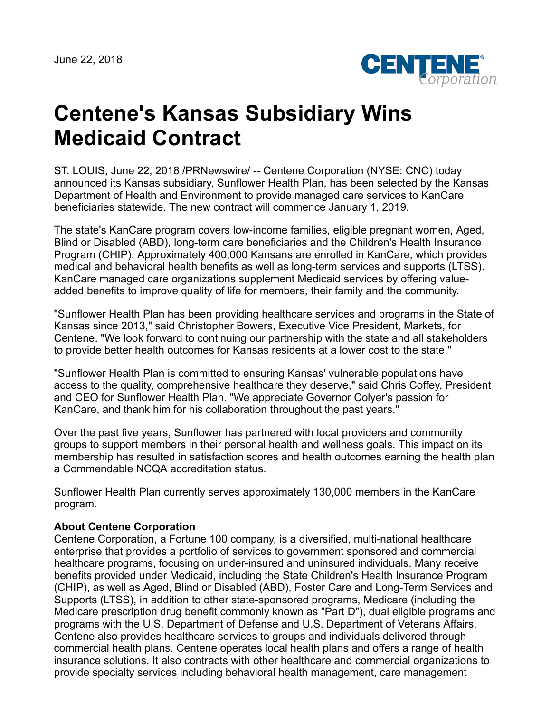June 22, 2018



## **Centene's Kansas Subsidiary Wins Medicaid Contract**

ST. LOUIS, June 22, 2018 /PRNewswire/ -- Centene Corporation (NYSE: CNC) today announced its Kansas subsidiary, Sunflower Health Plan, has been selected by the Kansas Department of Health and Environment to provide managed care services to KanCare beneficiaries statewide. The new contract will commence January 1, 2019.

The state's KanCare program covers low-income families, eligible pregnant women, Aged, Blind or Disabled (ABD), long-term care beneficiaries and the Children's Health Insurance Program (CHIP). Approximately 400,000 Kansans are enrolled in KanCare, which provides medical and behavioral health benefits as well as long-term services and supports (LTSS). KanCare managed care organizations supplement Medicaid services by offering valueadded benefits to improve quality of life for members, their family and the community.

"Sunflower Health Plan has been providing healthcare services and programs in the State of Kansas since 2013," said Christopher Bowers, Executive Vice President, Markets, for Centene. "We look forward to continuing our partnership with the state and all stakeholders to provide better health outcomes for Kansas residents at a lower cost to the state."

"Sunflower Health Plan is committed to ensuring Kansas' vulnerable populations have access to the quality, comprehensive healthcare they deserve," said Chris Coffey, President and CEO for Sunflower Health Plan. "We appreciate Governor Colyer's passion for KanCare, and thank him for his collaboration throughout the past years."

Over the past five years, Sunflower has partnered with local providers and community groups to support members in their personal health and wellness goals. This impact on its membership has resulted in satisfaction scores and health outcomes earning the health plan a Commendable NCQA accreditation status.

Sunflower Health Plan currently serves approximately 130,000 members in the KanCare program.

## **About Centene Corporation**

Centene Corporation, a Fortune 100 company, is a diversified, multi-national healthcare enterprise that provides a portfolio of services to government sponsored and commercial healthcare programs, focusing on under-insured and uninsured individuals. Many receive benefits provided under Medicaid, including the State Children's Health Insurance Program (CHIP), as well as Aged, Blind or Disabled (ABD), Foster Care and Long-Term Services and Supports (LTSS), in addition to other state-sponsored programs, Medicare (including the Medicare prescription drug benefit commonly known as "Part D"), dual eligible programs and programs with the U.S. Department of Defense and U.S. Department of Veterans Affairs. Centene also provides healthcare services to groups and individuals delivered through commercial health plans. Centene operates local health plans and offers a range of health insurance solutions. It also contracts with other healthcare and commercial organizations to provide specialty services including behavioral health management, care management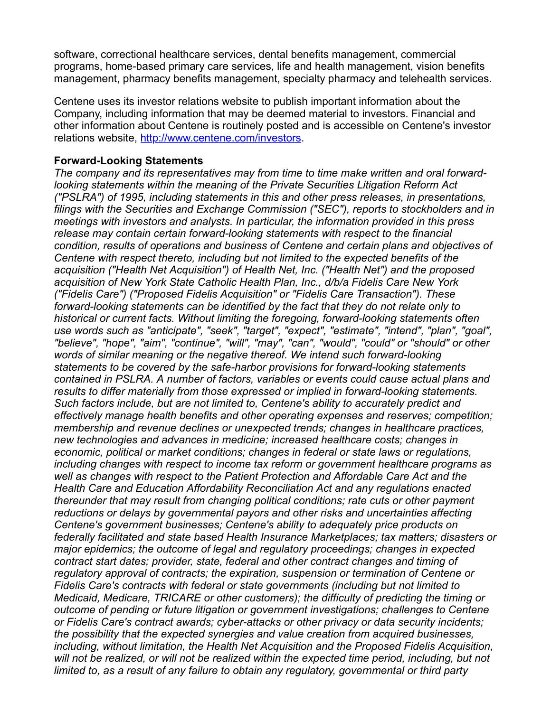software, correctional healthcare services, dental benefits management, commercial programs, home-based primary care services, life and health management, vision benefits management, pharmacy benefits management, specialty pharmacy and telehealth services.

Centene uses its investor relations website to publish important information about the Company, including information that may be deemed material to investors. Financial and other information about Centene is routinely posted and is accessible on Centene's investor relations website, <http://www.centene.com/investors>.

## **Forward-Looking Statements**

*The company and its representatives may from time to time make written and oral forwardlooking statements within the meaning of the Private Securities Litigation Reform Act ("PSLRA") of 1995, including statements in this and other press releases, in presentations, filings with the Securities and Exchange Commission ("SEC"), reports to stockholders and in meetings with investors and analysts. In particular, the information provided in this press release may contain certain forward-looking statements with respect to the financial condition, results of operations and business of Centene and certain plans and objectives of Centene with respect thereto, including but not limited to the expected benefits of the acquisition ("Health Net Acquisition") of Health Net, Inc. ("Health Net") and the proposed acquisition of New York State Catholic Health Plan, Inc., d/b/a Fidelis Care New York ("Fidelis Care") ("Proposed Fidelis Acquisition" or "Fidelis Care Transaction"). These forward-looking statements can be identified by the fact that they do not relate only to historical or current facts. Without limiting the foregoing, forward-looking statements often use words such as "anticipate", "seek", "target", "expect", "estimate", "intend", "plan", "goal", "believe", "hope", "aim", "continue", "will", "may", "can", "would", "could" or "should" or other words of similar meaning or the negative thereof. We intend such forward-looking statements to be covered by the safe-harbor provisions for forward-looking statements contained in PSLRA. A number of factors, variables or events could cause actual plans and results to differ materially from those expressed or implied in forward-looking statements. Such factors include, but are not limited to, Centene's ability to accurately predict and effectively manage health benefits and other operating expenses and reserves; competition; membership and revenue declines or unexpected trends; changes in healthcare practices, new technologies and advances in medicine; increased healthcare costs; changes in economic, political or market conditions; changes in federal or state laws or regulations, including changes with respect to income tax reform or government healthcare programs as well as changes with respect to the Patient Protection and Affordable Care Act and the Health Care and Education Affordability Reconciliation Act and any regulations enacted thereunder that may result from changing political conditions; rate cuts or other payment reductions or delays by governmental payors and other risks and uncertainties affecting Centene's government businesses; Centene's ability to adequately price products on federally facilitated and state based Health Insurance Marketplaces; tax matters; disasters or major epidemics; the outcome of legal and regulatory proceedings; changes in expected contract start dates; provider, state, federal and other contract changes and timing of regulatory approval of contracts; the expiration, suspension or termination of Centene or Fidelis Care's contracts with federal or state governments (including but not limited to Medicaid, Medicare, TRICARE or other customers); the difficulty of predicting the timing or outcome of pending or future litigation or government investigations; challenges to Centene or Fidelis Care's contract awards; cyber-attacks or other privacy or data security incidents; the possibility that the expected synergies and value creation from acquired businesses, including, without limitation, the Health Net Acquisition and the Proposed Fidelis Acquisition, will not be realized, or will not be realized within the expected time period, including, but not limited to, as a result of any failure to obtain any regulatory, governmental or third party*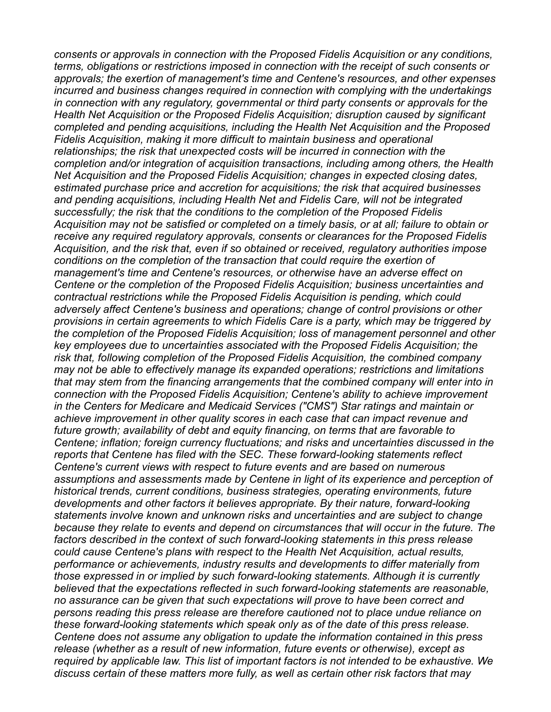*consents or approvals in connection with the Proposed Fidelis Acquisition or any conditions, terms, obligations or restrictions imposed in connection with the receipt of such consents or approvals; the exertion of management's time and Centene's resources, and other expenses incurred and business changes required in connection with complying with the undertakings in connection with any regulatory, governmental or third party consents or approvals for the Health Net Acquisition or the Proposed Fidelis Acquisition; disruption caused by significant completed and pending acquisitions, including the Health Net Acquisition and the Proposed Fidelis Acquisition, making it more difficult to maintain business and operational relationships; the risk that unexpected costs will be incurred in connection with the completion and/or integration of acquisition transactions, including among others, the Health Net Acquisition and the Proposed Fidelis Acquisition; changes in expected closing dates, estimated purchase price and accretion for acquisitions; the risk that acquired businesses and pending acquisitions, including Health Net and Fidelis Care, will not be integrated successfully; the risk that the conditions to the completion of the Proposed Fidelis Acquisition may not be satisfied or completed on a timely basis, or at all; failure to obtain or receive any required regulatory approvals, consents or clearances for the Proposed Fidelis Acquisition, and the risk that, even if so obtained or received, regulatory authorities impose conditions on the completion of the transaction that could require the exertion of management's time and Centene's resources, or otherwise have an adverse effect on Centene or the completion of the Proposed Fidelis Acquisition; business uncertainties and contractual restrictions while the Proposed Fidelis Acquisition is pending, which could adversely affect Centene's business and operations; change of control provisions or other provisions in certain agreements to which Fidelis Care is a party, which may be triggered by the completion of the Proposed Fidelis Acquisition; loss of management personnel and other key employees due to uncertainties associated with the Proposed Fidelis Acquisition; the risk that, following completion of the Proposed Fidelis Acquisition, the combined company may not be able to effectively manage its expanded operations; restrictions and limitations that may stem from the financing arrangements that the combined company will enter into in connection with the Proposed Fidelis Acquisition; Centene's ability to achieve improvement in the Centers for Medicare and Medicaid Services ("CMS") Star ratings and maintain or achieve improvement in other quality scores in each case that can impact revenue and future growth; availability of debt and equity financing, on terms that are favorable to Centene; inflation; foreign currency fluctuations; and risks and uncertainties discussed in the reports that Centene has filed with the SEC. These forward-looking statements reflect Centene's current views with respect to future events and are based on numerous assumptions and assessments made by Centene in light of its experience and perception of historical trends, current conditions, business strategies, operating environments, future developments and other factors it believes appropriate. By their nature, forward-looking statements involve known and unknown risks and uncertainties and are subject to change because they relate to events and depend on circumstances that will occur in the future. The factors described in the context of such forward-looking statements in this press release could cause Centene's plans with respect to the Health Net Acquisition, actual results, performance or achievements, industry results and developments to differ materially from those expressed in or implied by such forward-looking statements. Although it is currently believed that the expectations reflected in such forward-looking statements are reasonable, no assurance can be given that such expectations will prove to have been correct and persons reading this press release are therefore cautioned not to place undue reliance on these forward-looking statements which speak only as of the date of this press release. Centene does not assume any obligation to update the information contained in this press release (whether as a result of new information, future events or otherwise), except as required by applicable law. This list of important factors is not intended to be exhaustive. We discuss certain of these matters more fully, as well as certain other risk factors that may*